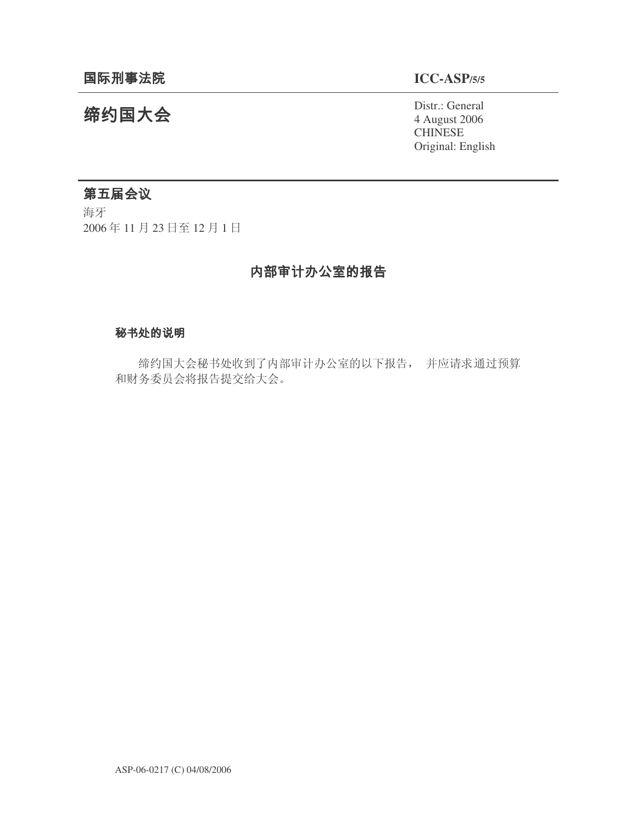# **ICC-ASP/5/5**

Distr.: General 4 August 2006 **CHINESE** Original: English

# 缔约国大会

# 第五届会议

海牙 2006年11月23日至12月1日

# 内部审计办公室的报告

# 秘书处的说明

缔约国大会秘书处收到了内部审计办公室的以下报告, 并应请求通过预算 和财务委员会将报告提交给大会。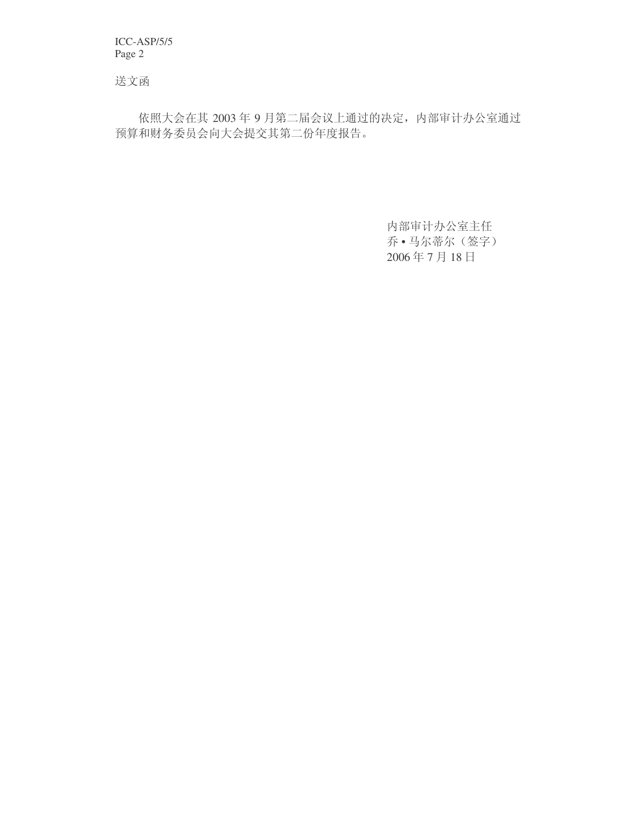ICC-ASP/5/5 Page 2

送文函

依照大会在其 2003年9月第二届会议上通过的决定, 内部审计办公室通过 预算和财务委员会向大会提交其第二份年度报告。

> 内部审计办公室主任 乔·马尔蒂尔(签字) 2006年7月18日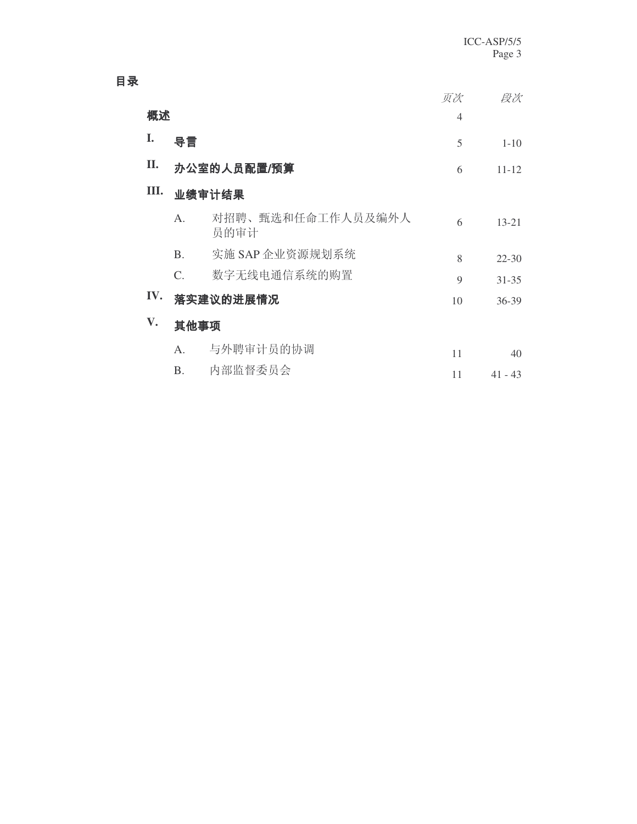|      |             |                           | 页次                       | 段次             |  |
|------|-------------|---------------------------|--------------------------|----------------|--|
|      | 概述          |                           |                          |                |  |
| I.   | 导言          |                           | 5                        | $1 - 10$       |  |
| II.  |             |                           | 6                        | $11 - 12$      |  |
| III. | 业绩审计结果      |                           |                          |                |  |
|      | $A_{\cdot}$ | 对招聘、甄选和任命工作人员及编外人<br>员的审计 | 6                        | $13 - 21$      |  |
|      | <b>B.</b>   | 实施 SAP 企业资源规划系统           | 8                        | $22 - 30$      |  |
|      | $C_{\cdot}$ | 数字无线电通信系统的购置              | $\mathbf Q$              | $31 - 35$      |  |
| IV.  |             |                           | 10                       | $36 - 39$      |  |
| V.   | 其他事项        |                           |                          |                |  |
|      | $A_{\cdot}$ | 与外聘审计员的协调                 | 11                       | 40             |  |
|      | <b>B.</b>   | 内部监督委员会                   | 11                       | $41 - 43$      |  |
|      |             |                           | 办公室的人员配置/预算<br>落实建议的进展情况 | $\overline{4}$ |  |

目录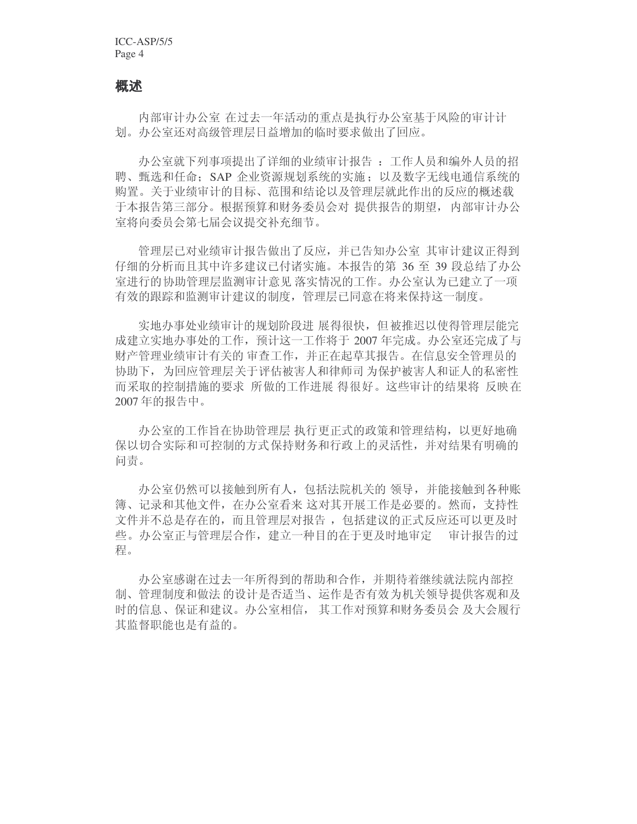#### 概述

内部审计办公室 在过去一年活动的重点是执行办公室基于风险的审计计 划。办公室还对高级管理层日益增加的临时要求做出了回应。

办公室就下列事项提出了详细的业绩审计报告: 工作人员和编外人员的招 聘、甄选和任命; SAP 企业资源规划系统的实施; 以及数字无线电通信系统的 购置。关于业绩审计的目标、范围和结论以及管理层就此作出的反应的概述载 于本报告第三部分。根据预算和财务委员会对 提供报告的期望,内部审计办公 室将向委员会第七届会议提交补充细节。

管理层已对业绩审计报告做出了反应, 并已告知办公室 其审计建议正得到 仔细的分析而且其中许多建议已付诸实施。本报告的第 36 至 39 段总结了办公 室进行的协助管理层监测审计意见 落实情况的工作。办公室认为已建立了一项 有效的跟踪和监测审计建议的制度, 管理层已同意在将来保持这一制度。

实地办事处业绩审计的规划阶段进 展得很快, 但被推迟以使得管理层能完 成建立实地办事处的工作,预计这一工作将于 2007 年完成。办公室还完成了与 财产管理业绩审计有关的 审查工作,并正在起草其报告。在信息安全管理员的 协助下,为回应管理层关于评估被害人和律师司 为保护被害人和证人的私密性 而采取的控制措施的要求 所做的工作进展 得很好。这些审计的结果将 反映在 2007年的报告中。

办公室的工作旨在协助管理层 执行更正式的政策和管理结构, 以更好地确 保以切合实际和可控制的方式保持财务和行政上的灵活性,并对结果有明确的 问责。

办公室仍然可以接触到所有人, 包括法院机关的 领导, 并能接触到各种账 簿、记录和其他文件, 在办公室看来 这对其开展工作是必要的。然而, 支持性 文件并不总是存在的,而且管理层对报告,包括建议的正式反应还可以更及时 些。办公室正与管理层合作, 建立一种目的在于更及时地审定。审计报告的过 程。

办公室感谢在过去一年所得到的帮助和合作,并期待着继续就法院内部控 制、管理制度和做法的设计是否适当、运作是否有效为机关领导提供客观和及 时的信息、保证和建议。办公室相信, 其工作对预算和财务委员会 及大会履行 其监督职能也是有益的。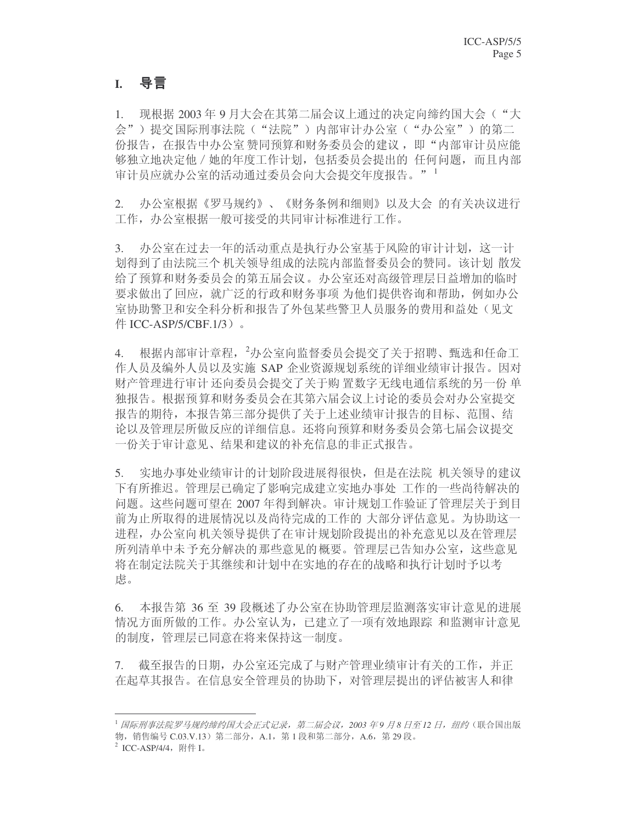# **I.**

1. 现根据 2003年 9 月大会在其第二届会议上通过的决定向缔约国大会("大 会")甚?? 语际刑事法院("法院")内部审计办公室("办公室")的第二 份报告, 在报告中办公室赞同预算和财务委员会的建议, 即"内部审计员应能 够独立地决定他 / 她的年度工作计划, 包括委员会提出的 任何问题, 而且内部 审计员应就办公室的活动通过委员会向大会提交年度报告。"<sup>1</sup>

2. 办公室根据《罗马规约》、《财务条例和细则》以及大会 的有关决议进行 工作, 办公室根据一般可接受的共同审计标准讲行工作。

3. 办公室在过去一年的活动重点是执行办公室基于风险的审计计划,这一计 划得到了由法院三个 机关领导组成的法院内部监督委员会的赞同。该计划 散发 给了预算和财务委员会的第五届会议。办公室还对高级管理层日益增加的临时 要求做出了回应,就广泛的行政和财务事项 为他们提供咨询和帮助,例如办公 室协助警卫和安全科分析和报告了外包某些警卫人员服务的费用和益处(见文  $#$  ICC-ASP/5/CBF.1/3).

4. 根据内部审计章程, 2办公室向监督委员会提交了关于招聘、甄选和任命工 作人员及编外人员以及实施 SAP 企业资源规划系统的详细业绩审计报告。因对 财产管理进行审计 还向委员会提交了关于购 置数字无线电通信系统的另一份 单 独报告。根据预算和财务委员会在其第六届会议上讨论的委员会对办公室提交 报告的期待,本报告第三部分提供了关于上述业绩审计报告的目标、范围、结 论以及管理层所做反应的详细信息。还将向预算和财务委员会第七届会议提交 一份关于审计意见、结果和建议的补充信息的非正式报告。

5. 实地办事处业绩审计的计划阶段进展得很快,但是在法院 机关领导的建议 下有所推迟。管理层已确定了影响完成建立实地办事处 工作的一些尚待解决的 问题。这些问题可望在 2007 年得到解决。审计规划工作验证了管理层关于到目 前为止所取得的进展情况以及尚待完成的工作的 大部分评估意见。为协助这一 进程,办公室向 机关领导提供了在审计规划阶段提出的补充意见以及在管理层 所列清单中未予充分解决的那些意见的概要。管理层已告知办公室,这些意见 将在制定法院关于其继续和计划中在实地的存在的战略和执行计划时予以考 虑。

6. 本报告第 36 至 39 段概述了办公室在协助管理层监测落实审计意见的进展 情况方面所做的工作。办公室认为,已建立了一项有效地跟踪 和监测审计意见 的制度, 管理层已同意在将来保持这一制度。

7. 截至报告的日期, 办公室还完成了与财产管理业绩审计有关的工作, 并正 在起草其报告。在信息安全管理员的协助下, 对管理层提出的评估被害人和律

<sup>&</sup>lt;sup>1</sup> 国际刑事法院罗马规约缔约国大会正式记录, 第二届会议, 2003 年9 月8 日至 12 日, 纽约 (联合国出版 物, 销售编号 C.03.V.13) 第二部分, A.1, 第1段和第二部分, A.6, 第29 段。

 $^2$  ICC-ASP/4/4, 附件 I。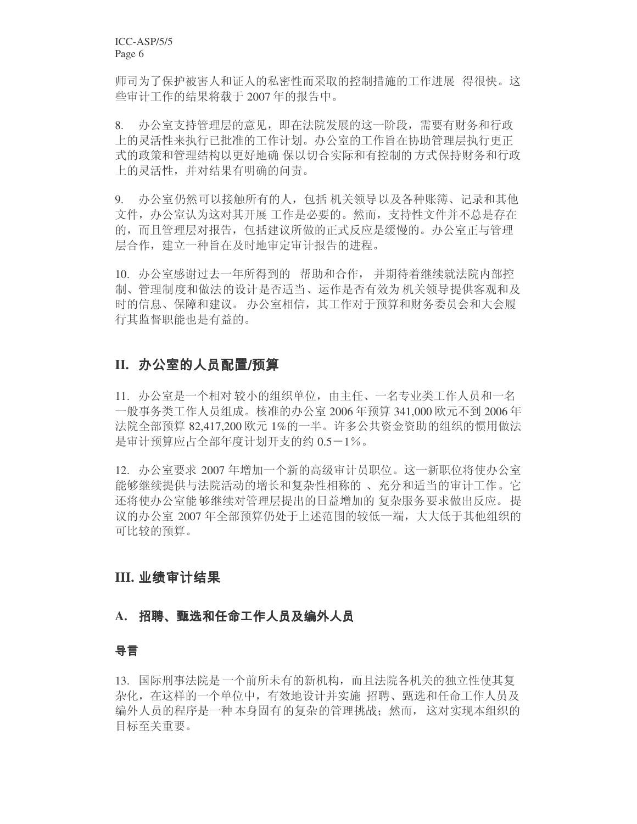师司为了保护被害人和证人的私密性而采取的控制措施的工作进展 得很快。这 些审计工作的结果将载于 2007 年的报告中。

8. 办公室支持管理层的意见,即在法院发展的这一阶段,需要有财务和行政 上的灵活性来执行已批准的工作计划。办公室的工作旨在协助管理层执行更正 式的政策和管理结构以更好地确 保以切合实际和有控制的 方式保持财务和行政 上的灵活性,并对结果有明确的问责。

9. 办公室仍然可以接触所有的人, 包括 机关领导以及各种账簿、记录和其他 文件, 办公室认为这对其开展工作是必要的。然而, 支持性文件并不总是存在 的,而且管理层对报告,包括建议所做的正式反应是缓慢的。办公室正与管理 层合作, 建立一种旨在及时地审定审计报告的进程。

10. 办公室感谢过去一年所得到的 帮助和合作, 并期待着继续就法院内部控 制、管理制度和做法的设计是否适当、运作是否有效为机关领导提供客观和及 时的信息、保障和建议。办公室相信,其工作对于预算和财务委员会和大会履 行其监督职能也是有益的。

# II. 办公室的人员配置/预算

11. 办公室是一个相对较小的组织单位, 由主任、一名专业类工作人员和一名 一般事务类工作人员组成。核准的办公室 2006 年预算 341,000 欧元不到 2006 年 法院全部预算 82.417.200 欧元 1%的一半。许多公共资金资助的组织的惯用做法 是审计预算应占全部年度计划开支的约 0.5-1%。

12. 办公室要求 2007 年增加一个新的高级审计员职位。这一新职位将使办公室 能够继续提供与法院活动的增长和复杂性相称的, 、充分和适当的审计工作。它 还将使办公室能够继续对管理层提出的日益增加的 复杂服务要求做出反应。 提 议的办公室 2007 年全部预算仍处于上述范围的较低一端,大大低于其他组织的 可比较的预算。

# **III.**

## A. 招聘、甄选和任命工作人员及编外人员

## 导言

13. 国际刑事法院是一个前所未有的新机构,而且法院各机关的独立性使其复 杂化,在这样的一个单位中,有效地设计并实施 招聘、甄选和任命工作人员及 编外人员的程序是一种 本身固有的复杂的管理挑战:然而, 这对实现本组织的 目标至关重要。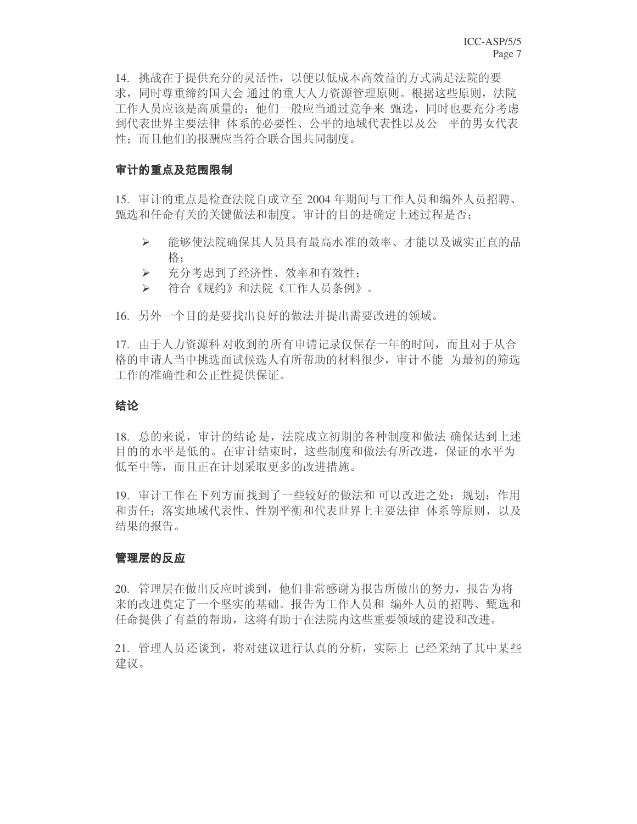14. 挑战在于提供充分的灵活性, 以便以低成本高效益的方式满足法院的要 求,同时尊重缔约国大会 通过的重大人力资源管理原则。根据这些原则, 法院 工作人员应该是高质量的; 他们一般应当通过竞争来 甄选, 同时也要充分考虑 到代表世界主要法律 体系的必要性、公平的地域代表性以及公 平的男女代表 性: 而且他们的报酬应当符合联合国共同制度。

#### 审计的重点及范围限制

15. 审计的重点是检查法院自成立至 2004 年期间与工作人员和编外人员招聘、 甄选和任命有关的关键做法和制度。审计的目的是确定上述过程是否:

- ▶ 能够使法院确保其人员具有最高水准的效率、才能以及诚实正直的品 格:
- ▶ 充分考虑到了经济性、效率和有效性;
- > 符合《规约》和法院《工作人员条例》。
- 16. 另外一个目的是要找出良好的做法并提出需要改进的领域。

17. 由于人力资源科对收到的所有申请记录仅保存一年的时间,而且对于从合 格的申请人当中挑选面试候选人有所帮助的材料很少, 审计不能 为最初的筛选 工作的准确性和公正性提供保证。

#### 结论

18. 总的来说,审计的结论是,法院成立初期的各种制度和做法 确保达到上述 目的的水平是低的。在审计结束时,这些制度和做法有所改进,保证的水平为 低至中等,而且正在计划采取更多的改进措施。

19. 审计工作在下列方面找到了一些较好的做法和可以改进之处: 规划; 作用 和责任: 落实地域代表性、性别平衡和代表世界上主要法律 体系等原则, 以及 结果的报告。

#### 管理层的反应

20. 管理层在做出反应时谈到, 他们非常感谢为报告所做出的努力, 报告为将 来的改进奠定了一个坚实的基础。报告为工作人员和 编外人员的招聘、甄选和 任命提供了有益的帮助,这将有助于在法院内这些重要领域的建设和改进。

21. 管理人员还谈到, 将对建议进行认真的分析, 实际上 已经采纳了其中某些 建议。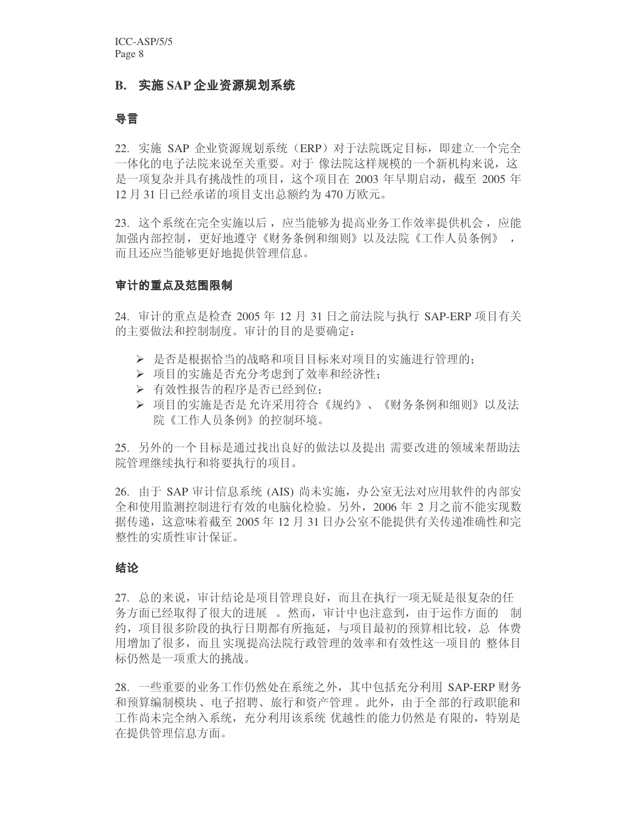#### B. 实施 SAP 企业资源规划系统

#### 导言

22. 实施 SAP 企业资源规划系统 (ERP) 对于法院既定目标, 即建立一个完全 一体化的电子法院来说至关重要。对于 像法院这样规模的一个新机构来说,这 是一项复杂并具有挑战性的项目,这个项目在 2003 年早期启动,截至 2005 年 12 月 31 日已经承诺的项目支出总额约为 470 万欧元。

23. 这个系统在完全实施以后, 应当能够为提高业务工作效率提供机会, 应能 加强内部控制,更好地遵守《财务条例和细则》以及法院《工作人员条例》 , 而且还应当能够更好地提供管理信息。

#### 审计的重点及范围限制

24. 审计的重点是检查 2005 年 12 月 31 日之前決院与执行 SAP-ERP 项目有关 的主要做法和控制制度。审计的目的是要确定:

- > 是否是根据恰当的战略和项目目标来对项目的实施讲行管理的:
- > 项目的实施是否充分考虑到了效率和经济性:
- > 有效性报告的程序是否已经到位;
- ▶ 项目的实施是否是允许采用符合《规约》、《财务条例和细则》以及法 院《工作人员条例》的控制环境。

25. 另外的一个目标是通过找出良好的做法以及提出 需要改进的领域来帮助法 院管理继续执行和将要执行的项目。

26. 由于 SAP 审计信息系统 (AIS) 尚未实施, 办公室无法对应用软件的内部安 全和使用监测控制进行有效的电脑化检验。另外, 2006 年 2 月之前不能实现数 据传递, 这意味着截至 2005 年 12 月 31 日办公室不能提供有关传递准确性和完 整性的实质性审计保证。

#### 结论

27. 总的来说, 审计结论是项目管理良好, 而且在执行一项无疑是很复杂的任 务方面已经取得了很大的进展 。然而,审计中也注意到,由于运作方面的 制 约,项目很多阶段的执行日期都有所拖延,与项目最初的预算相比较,总体费 用增加了很多,而且实现提高法院行政管理的效率和有效性这一项目的 整体目 标仍然是一项重大的挑战。

28. 一些重要的业务工作仍然处在系统之外, 其中包括充分利用 SAP-ERP 财务 和预算编制模块、电子招聘、旅行和资产管理。此外, 由于全部的行政职能和 工作尚未完全纳入系统, 充分利用该系统 优越性的能力仍然是有限的, 特别是 在提供管理信息方面。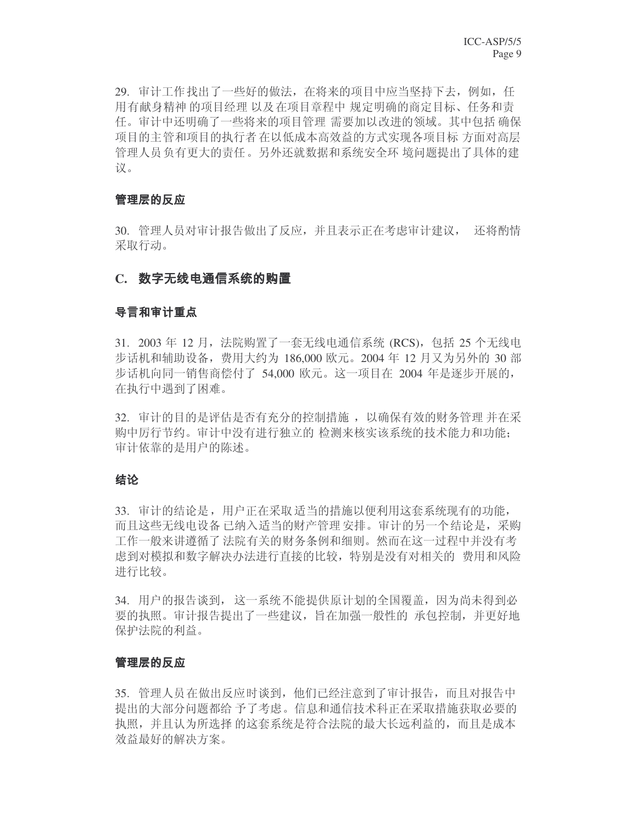29. 审计工作找出了一些好的做法, 在将来的项目中应当坚持下去, 例如, 任 用有献身精神 的项目经理 以及在项目章程中 规定明确的商定目标、任务和责 任。审计中还明确了一些将来的项目管理 需要加以改进的领域。其中包括 确保 项目的主管和项目的执行者 在以低成本高效益的方式实现各项目标 方面对高层 管理人员负有更大的责任。另外还就数据和系统安全环 境问题提出了具体的建 议。

#### 管理层的反应

30. 管理人员对审计报告做出了反应,并且表示正在考虑审计建议, 还将酌情 采取行动。

#### C. 数字无线电通信系统的购置

#### 导言和审计重点

31. 2003 年 12 月, 法院购置了一套无线电通信系统 (RCS), 包括 25 个无线电 步话机和辅助设备,费用大约为 186,000 欧元。2004 年 12 月又为另外的 30 部 步话机向同一销售商偿付了 54,000 欧元。这一项目在 2004 年是逐步开展的, 在执行中遇到了困难。

32. 审计的目的是评估是否有充分的控制措施, 以确保有效的财务管理 并在采 购中厉行节约。审计中没有进行独立的 检测来核实该系统的技术能力和功能; 审计依靠的是用户的陈述。

#### 结论

33. 审计的结论是,用户正在采取适当的措施以便利用这套系统现有的功能, 而且这些无线电设备已纳入适当的财产管理安排。审计的另一个结论是, 采购 工作一般来讲遵循了法院有关的财务条例和细则。然而在这一过程中并没有考 虑到对模拟和数字解决办法进行直接的比较,特别是没有对相关的 费用和风险 进行比较。

34. 用户的报告谈到, 这一系统不能提供原计划的全国覆盖, 因为尚未得到必 要的执照。审计报告提出了一些建议, 旨在加强一般性的 承包控制, 并更好地 保护法院的利益。

#### 管理层的反应

35. 管理人员在做出反应时谈到, 他们已经注意到了审计报告, 而且对报告中 提出的大部分问题都给予了考虑。信息和通信技术科正在采取措施获取必要的 执照,并且认为所选择的这套系统是符合法院的最大长远利益的,而且是成本 效益最好的解决方案。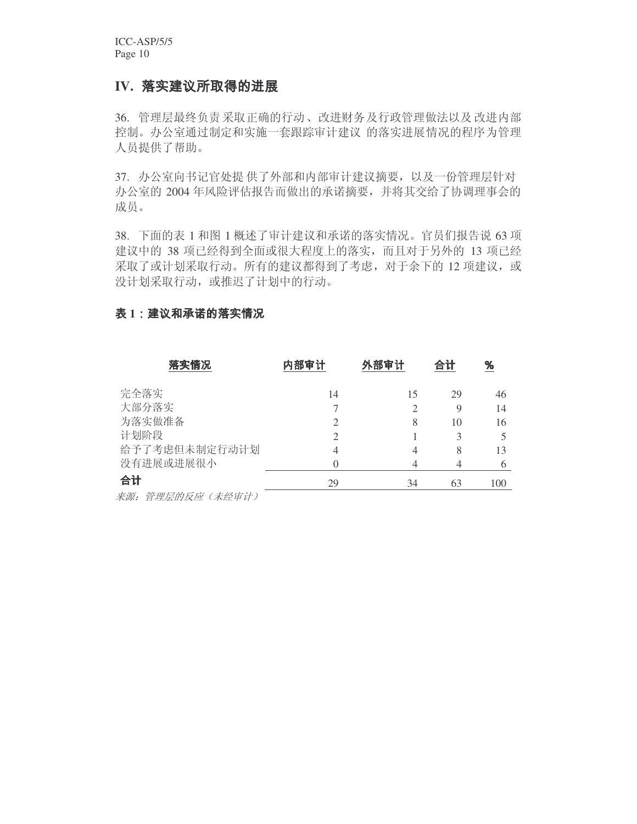ICC-ASP/5/5 Page 10

# IV. 落实建议所取得的进展

36. 管理层最终负责采取正确的行动、改进财务及行政管理做法以及改进内部 控制。办公室通过制定和实施一套跟踪审计建议 的落实进展情况的程序为管理 人员提供了帮助。

37. 办公室向书记官处提 供了外部和内部审计建议摘要, 以及一份管理层针对 办公室的 2004 年风险评估报告而做出的承诺摘要,并将其交给了协调理事会的 成员。

38. 下面的表 1 和图 1 概述了审计建议和承诺的落实情况。官员们报告说 63 项 建议中的 38 项已经得到全面或很大程度上的落实, 而且对于另外的 13 项已经 采取了或计划采取行动。所有的建议都得到了考虑, 对于余下的 12 项建议, 或 没计划采取行动, 或推迟了计划中的行动。

## 表 1: 建议和承诺的落实情况

| 落实情况             | 内部审计 | 外部审计 | 合计      | %        |
|------------------|------|------|---------|----------|
| 完全落实             | 14   | 15   | 29      | 46       |
| 大部分落实<br>为落实做准备  | 2    | 8    | 9<br>10 | 14<br>16 |
| 计划阶段             | 2    |      | 3       | 5        |
| 给予了考虑但未制定行动计划    | 4    | 4    | 8       | 13       |
| 没有进展或进展很小        |      | 4    |         | 6        |
| 合计               | 29   | 34   | 63      | 100      |
| 来源: 管理层的反应(未经审计) |      |      |         |          |